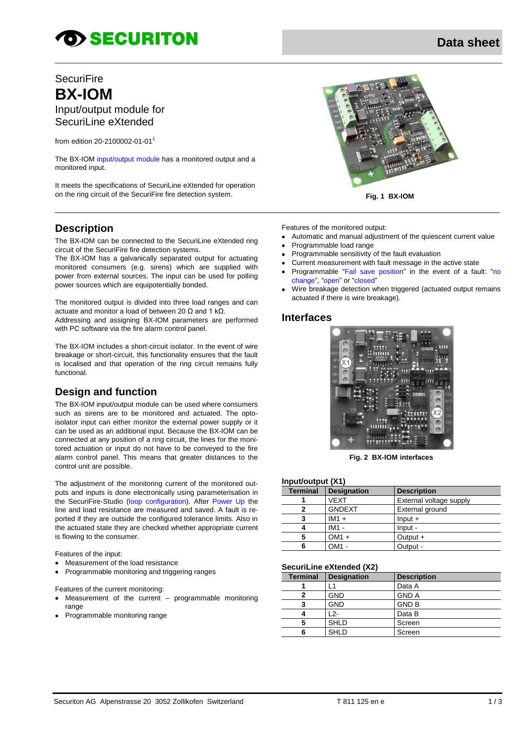# **OD SECURITON**

# **SecuriFire BX-IOM** Input/output module for SecuriLine eXtended

from edition 20-2100002-01-01<sup>1</sup>

The BX-IOM input/output module has a monitored output and a monitored input.

It meets the specifications of SecuriLine eXtended for operation on the ring circuit of the SecuriFire fire detection system.

### **Description**

The BX-IOM can be connected to the SecuriLine eXtended ring circuit of the SecuriFire fire detection systems.

The BX-IOM has a galvanically separated output for actuating monitored consumers (e.g. sirens) which are supplied with power from external sources. The input can be used for polling power sources which are equipotentially bonded.

The monitored output is divided into three load ranges and can actuate and monitor a load of between 20 Ω and 1 kΩ.

Addressing and assigning BX-IOM parameters are performed with PC software via the fire alarm control panel.

The BX-IOM includes a short-circuit isolator. In the event of wire breakage or short-circuit, this functionality ensures that the fault is localised and that operation of the ring circuit remains fully functional.

# **Design and function**

The BX-IOM input/output module can be used where consumers such as sirens are to be monitored and actuated. The optoisolator input can either monitor the external power supply or it can be used as an additional input. Because the BX-IOM can be connected at any position of a ring circuit, the lines for the monitored actuation or input do not have to be conveyed to the fire alarm control panel. This means that greater distances to the control unit are possible.

The adjustment of the monitoring current of the monitored outputs and inputs is done electronically using parameterisation in the SecuriFire-Studio (loop configuration). After Power Up the line and load resistance are measured and saved. A fault is reported if they are outside the configured tolerance limits. Also in the actuated state they are checked whether appropriate current is flowing to the consumer.

Features of the input:

- Measurement of the load resistance
- Programmable monitoring and triggering ranges

Features of the current monitoring:

- Measurement of the current programmable monitoring range
- Programmable monitoring range



**Fig. 1 BX-IOM**

Features of the monitored output:

- Automatic and manual adjustment of the quiescent current value
- Programmable load range
- Programmable sensitivity of the fault evaluation
- Current measurement with fault message in the active state
- Programmable "Fail save position" in the event of a fault: "no change", "open" or "closed"
- Wire breakage detection when triggered (actuated output remains actuated if there is wire breakage).

#### **Interfaces**

\_\_\_\_\_\_\_\_\_\_\_\_\_\_\_\_\_\_\_\_\_\_\_\_\_\_\_\_\_\_\_\_\_\_\_\_\_\_\_\_\_\_\_\_\_\_\_\_\_\_\_\_\_\_\_\_\_\_\_\_\_\_\_\_\_\_\_\_\_\_\_\_\_\_\_\_\_\_\_\_\_\_\_\_\_\_\_\_\_\_\_\_\_\_\_\_\_\_\_\_\_\_\_\_\_\_\_\_\_\_\_\_\_\_



**Fig. 2 BX-IOM interfaces**

#### **Input/output (X1)**

| <b>Terminal</b> | <b>Designation</b> | <b>Description</b>      |
|-----------------|--------------------|-------------------------|
|                 | <b>VEXT</b>        | External voltage supply |
|                 | <b>GNDEXT</b>      | External ground         |
|                 | $IM1 +$            | $Input +$               |
|                 | $IM1 -$            | Input -                 |
| 5               | $OM1 +$            | Output $+$              |
| 6               | $OM1 -$            | Output -                |

#### **SecuriLine eXtended (X2)**

| <b>Terminal</b> | <b>Designation</b> | <b>Description</b> |
|-----------------|--------------------|--------------------|
|                 | -1                 | Data A             |
| 2               | <b>GND</b>         | <b>GND A</b>       |
| 3               | <b>GND</b>         | <b>GND B</b>       |
|                 | 12-                | Data B             |
| 5               | <b>SHLD</b>        | Screen             |
| 6               | <b>SHLD</b>        | Screen             |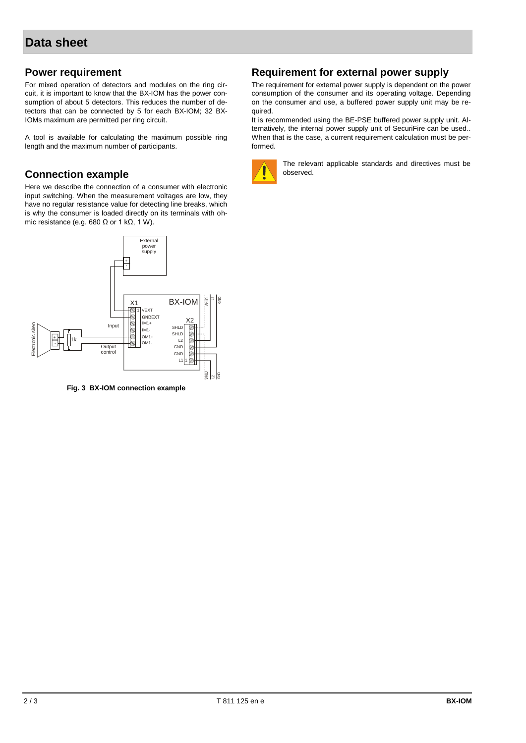#### **Power requirement**

For mixed operation of detectors and modules on the ring circuit, it is important to know that the BX-IOM has the power consumption of about 5 detectors. This reduces the number of detectors that can be connected by 5 for each BX-IOM; 32 BX-IOMs maximum are permitted per ring circuit.

A tool is available for calculating the maximum possible ring length and the maximum number of participants.

#### **Connection example**

Here we describe the connection of a consumer with electronic input switching. When the measurement voltages are low, they have no regular resistance value for detecting line breaks, which is why the consumer is loaded directly on its terminals with ohmic resistance (e.g. 680  $Ω$  or 1 k $Ω$ , 1 W).



**Fig. 3 BX-IOM connection example**

#### **Requirement for external power supply**

The requirement for external power supply is dependent on the power consumption of the consumer and its operating voltage. Depending on the consumer and use, a buffered power supply unit may be required.

It is recommended using the BE-PSE buffered power supply unit. Alternatively, the internal power supply unit of SecuriFire can be used.. When that is the case, a current requirement calculation must be performed.



The relevant applicable standards and directives must be observed.